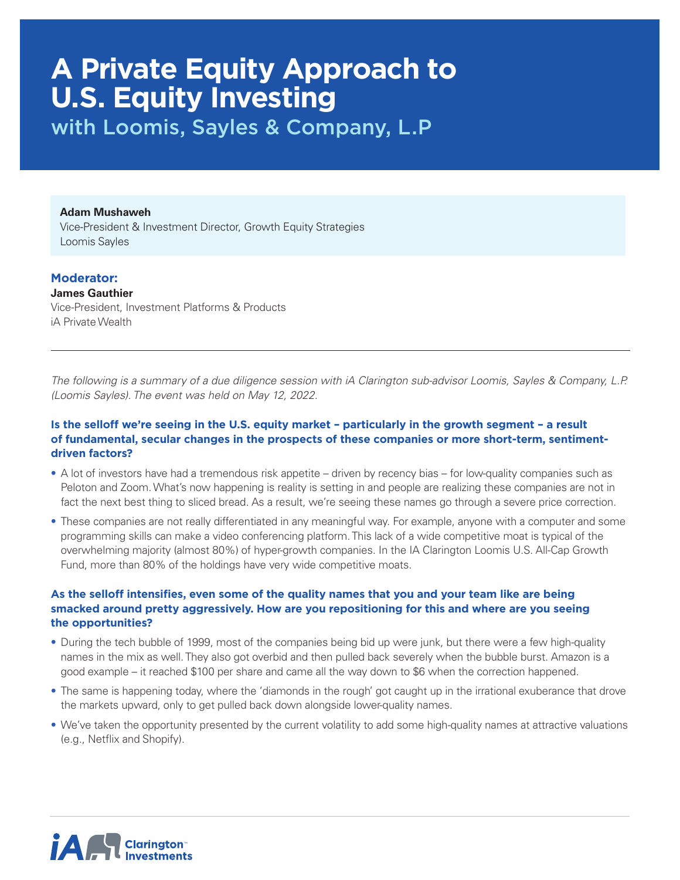# **A Private Equity Approach to U.S. Equity Investing**

with Loomis, Sayles & Company, L.P

**Adam Mushaweh**

Vice-President & Investment Director, Growth Equity Strategies Loomis Sayles

# **Moderator:**

**James Gauthier** Vice-President, Investment Platforms & Products iA Private Wealth

*The following is a summary of a due diligence session with iA Clarington sub-advisor Loomis, Sayles & Company, L.P. (Loomis Sayles). The event was held on May 12, 2022.* 

## **Is the selloff we're seeing in the U.S. equity market – particularly in the growth segment – a result of fundamental, secular changes in the prospects of these companies or more short-term, sentimentdriven factors?**

- A lot of investors have had a tremendous risk appetite driven by recency bias for low-quality companies such as Peloton and Zoom. What's now happening is reality is setting in and people are realizing these companies are not in fact the next best thing to sliced bread. As a result, we're seeing these names go through a severe price correction.
- These companies are not really differentiated in any meaningful way. For example, anyone with a computer and some programming skills can make a video conferencing platform. This lack of a wide competitive moat is typical of the overwhelming majority (almost 80%) of hyper-growth companies. In the IA Clarington Loomis U.S. All-Cap Growth Fund, more than 80% of the holdings have very wide competitive moats.

#### **As the selloff intensifies, even some of the quality names that you and your team like are being smacked around pretty aggressively. How are you repositioning for this and where are you seeing the opportunities?**

- During the tech bubble of 1999, most of the companies being bid up were junk, but there were a few high-quality names in the mix as well. They also got overbid and then pulled back severely when the bubble burst. Amazon is a good example – it reached \$100 per share and came all the way down to \$6 when the correction happened.
- The same is happening today, where the 'diamonds in the rough' got caught up in the irrational exuberance that drove the markets upward, only to get pulled back down alongside lower-quality names.
- We've taken the opportunity presented by the current volatility to add some high-quality names at attractive valuations (e.g., Netflix and Shopify).

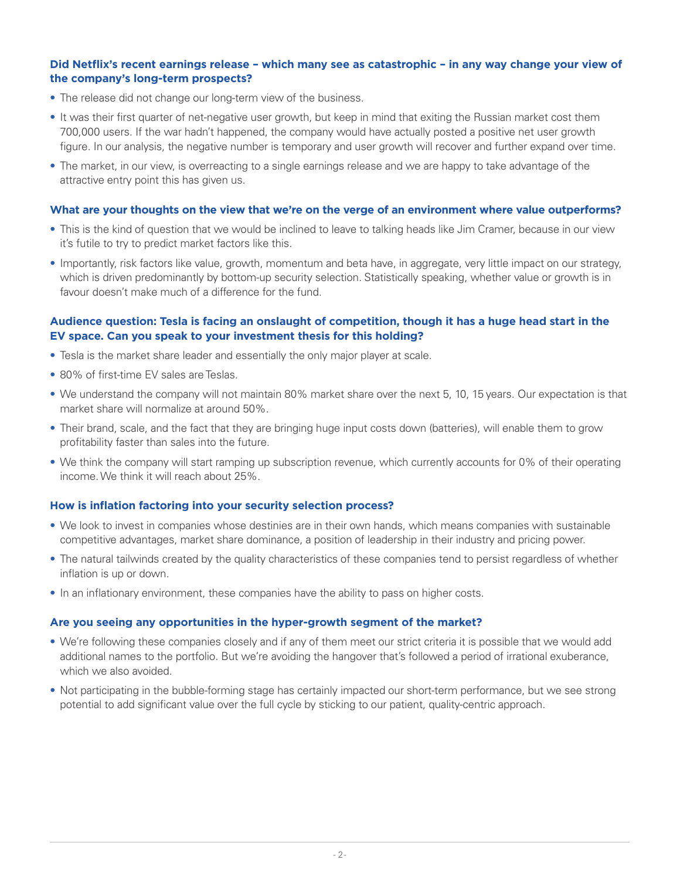#### **Did Netflix's recent earnings release – which many see as catastrophic – in any way change your view of the company's long-term prospects?**

- The release did not change our long-term view of the business.
- It was their first quarter of net-negative user growth, but keep in mind that exiting the Russian market cost them 700,000 users. If the war hadn't happened, the company would have actually posted a positive net user growth figure. In our analysis, the negative number is temporary and user growth will recover and further expand over time.
- The market, in our view, is overreacting to a single earnings release and we are happy to take advantage of the attractive entry point this has given us.

#### **What are your thoughts on the view that we're on the verge of an environment where value outperforms?**

- This is the kind of question that we would be inclined to leave to talking heads like Jim Cramer, because in our view it's futile to try to predict market factors like this.
- Importantly, risk factors like value, growth, momentum and beta have, in aggregate, very little impact on our strategy, which is driven predominantly by bottom-up security selection. Statistically speaking, whether value or growth is in favour doesn't make much of a difference for the fund.

## **Audience question: Tesla is facing an onslaught of competition, though it has a huge head start in the EV space. Can you speak to your investment thesis for this holding?**

- Tesla is the market share leader and essentially the only major player at scale.
- 80% of first-time EV sales are Teslas.
- We understand the company will not maintain 80% market share over the next 5, 10, 15 years. Our expectation is that market share will normalize at around 50%.
- Their brand, scale, and the fact that they are bringing huge input costs down (batteries), will enable them to grow profitability faster than sales into the future.
- We think the company will start ramping up subscription revenue, which currently accounts for 0% of their operating income. We think it will reach about 25%.

#### **How is inflation factoring into your security selection process?**

- We look to invest in companies whose destinies are in their own hands, which means companies with sustainable competitive advantages, market share dominance, a position of leadership in their industry and pricing power.
- The natural tailwinds created by the quality characteristics of these companies tend to persist regardless of whether inflation is up or down.
- In an inflationary environment, these companies have the ability to pass on higher costs.

#### **Are you seeing any opportunities in the hyper-growth segment of the market?**

- We're following these companies closely and if any of them meet our strict criteria it is possible that we would add additional names to the portfolio. But we're avoiding the hangover that's followed a period of irrational exuberance, which we also avoided.
- Not participating in the bubble-forming stage has certainly impacted our short-term performance, but we see strong potential to add significant value over the full cycle by sticking to our patient, quality-centric approach.